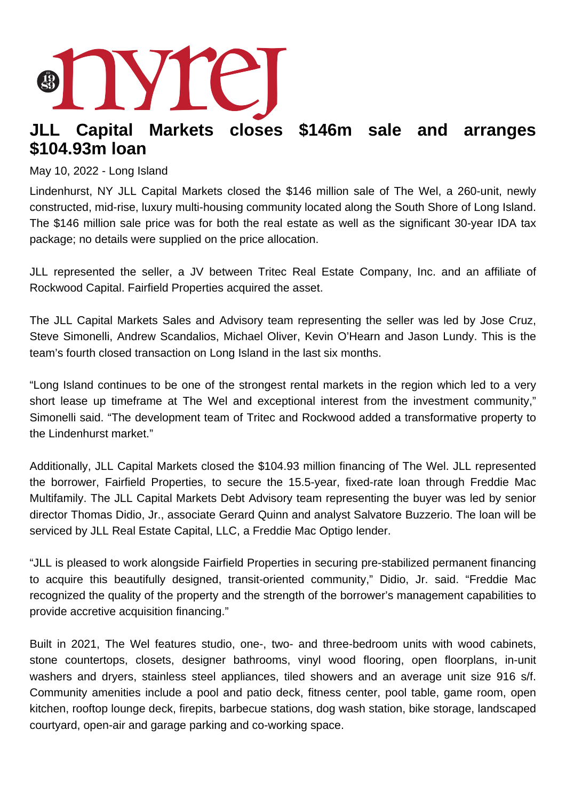## **JLL Capital Markets closes \$146m sale and arranges \$104.93m loan**

## May 10, 2022 - Long Island

Lindenhurst, NY JLL Capital Markets closed the \$146 million sale of The Wel, a 260-unit, newly constructed, mid-rise, luxury multi-housing community located along the South Shore of Long Island. The \$146 million sale price was for both the real estate as well as the significant 30-year IDA tax package; no details were supplied on the price allocation.

JLL represented the seller, a JV between Tritec Real Estate Company, Inc. and an affiliate of Rockwood Capital. Fairfield Properties acquired the asset.

The JLL Capital Markets Sales and Advisory team representing the seller was led by Jose Cruz, Steve Simonelli, Andrew Scandalios, Michael Oliver, Kevin O'Hearn and Jason Lundy. This is the team's fourth closed transaction on Long Island in the last six months.

"Long Island continues to be one of the strongest rental markets in the region which led to a very short lease up timeframe at The Wel and exceptional interest from the investment community," Simonelli said. "The development team of Tritec and Rockwood added a transformative property to the Lindenhurst market."

Additionally, JLL Capital Markets closed the \$104.93 million financing of The Wel. JLL represented the borrower, Fairfield Properties, to secure the 15.5-year, fixed-rate loan through Freddie Mac Multifamily. The JLL Capital Markets Debt Advisory team representing the buyer was led by senior director Thomas Didio, Jr., associate Gerard Quinn and analyst Salvatore Buzzerio. The loan will be serviced by JLL Real Estate Capital, LLC, a Freddie Mac Optigo lender.

"JLL is pleased to work alongside Fairfield Properties in securing pre-stabilized permanent financing to acquire this beautifully designed, transit-oriented community," Didio, Jr. said. "Freddie Mac recognized the quality of the property and the strength of the borrower's management capabilities to provide accretive acquisition financing."

Built in 2021, The Wel features studio, one-, two- and three-bedroom units with wood cabinets, stone countertops, closets, designer bathrooms, vinyl wood flooring, open floorplans, in-unit washers and dryers, stainless steel appliances, tiled showers and an average unit size 916 s/f. Community amenities include a pool and patio deck, fitness center, pool table, game room, open kitchen, rooftop lounge deck, firepits, barbecue stations, dog wash station, bike storage, landscaped courtyard, open-air and garage parking and co-working space.